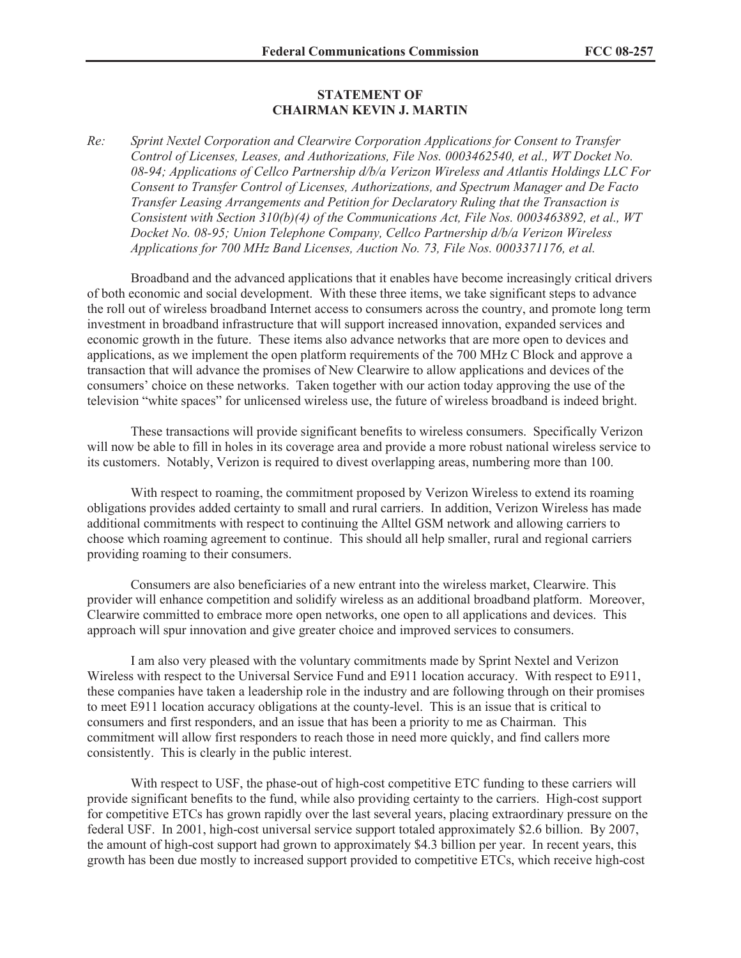## **STATEMENT OF CHAIRMAN KEVIN J. MARTIN**

*Re: Sprint Nextel Corporation and Clearwire Corporation Applications for Consent to Transfer Control of Licenses, Leases, and Authorizations, File Nos. 0003462540, et al., WT Docket No. 08-94; Applications of Cellco Partnership d/b/a Verizon Wireless and Atlantis Holdings LLC For Consent to Transfer Control of Licenses, Authorizations, and Spectrum Manager and De Facto Transfer Leasing Arrangements and Petition for Declaratory Ruling that the Transaction is Consistent with Section 310(b)(4) of the Communications Act, File Nos. 0003463892, et al., WT Docket No. 08-95; Union Telephone Company, Cellco Partnership d/b/a Verizon Wireless Applications for 700 MHz Band Licenses, Auction No. 73, File Nos. 0003371176, et al.*

Broadband and the advanced applications that it enables have become increasingly critical drivers of both economic and social development. With these three items, we take significant steps to advance the roll out of wireless broadband Internet access to consumers across the country, and promote long term investment in broadband infrastructure that will support increased innovation, expanded services and economic growth in the future. These items also advance networks that are more open to devices and applications, as we implement the open platform requirements of the 700 MHz C Block and approve a transaction that will advance the promises of New Clearwire to allow applications and devices of the consumers' choice on these networks. Taken together with our action today approving the use of the television "white spaces" for unlicensed wireless use, the future of wireless broadband is indeed bright.

These transactions will provide significant benefits to wireless consumers. Specifically Verizon will now be able to fill in holes in its coverage area and provide a more robust national wireless service to its customers. Notably, Verizon is required to divest overlapping areas, numbering more than 100.

With respect to roaming, the commitment proposed by Verizon Wireless to extend its roaming obligations provides added certainty to small and rural carriers. In addition, Verizon Wireless has made additional commitments with respect to continuing the Alltel GSM network and allowing carriers to choose which roaming agreement to continue. This should all help smaller, rural and regional carriers providing roaming to their consumers.

Consumers are also beneficiaries of a new entrant into the wireless market, Clearwire. This provider will enhance competition and solidify wireless as an additional broadband platform. Moreover, Clearwire committed to embrace more open networks, one open to all applications and devices. This approach will spur innovation and give greater choice and improved services to consumers.

I am also very pleased with the voluntary commitments made by Sprint Nextel and Verizon Wireless with respect to the Universal Service Fund and E911 location accuracy. With respect to E911, these companies have taken a leadership role in the industry and are following through on their promises to meet E911 location accuracy obligations at the county-level. This is an issue that is critical to consumers and first responders, and an issue that has been a priority to me as Chairman. This commitment will allow first responders to reach those in need more quickly, and find callers more consistently. This is clearly in the public interest.

With respect to USF, the phase-out of high-cost competitive ETC funding to these carriers will provide significant benefits to the fund, while also providing certainty to the carriers. High-cost support for competitive ETCs has grown rapidly over the last several years, placing extraordinary pressure on the federal USF. In 2001, high-cost universal service support totaled approximately \$2.6 billion. By 2007, the amount of high-cost support had grown to approximately \$4.3 billion per year. In recent years, this growth has been due mostly to increased support provided to competitive ETCs, which receive high-cost